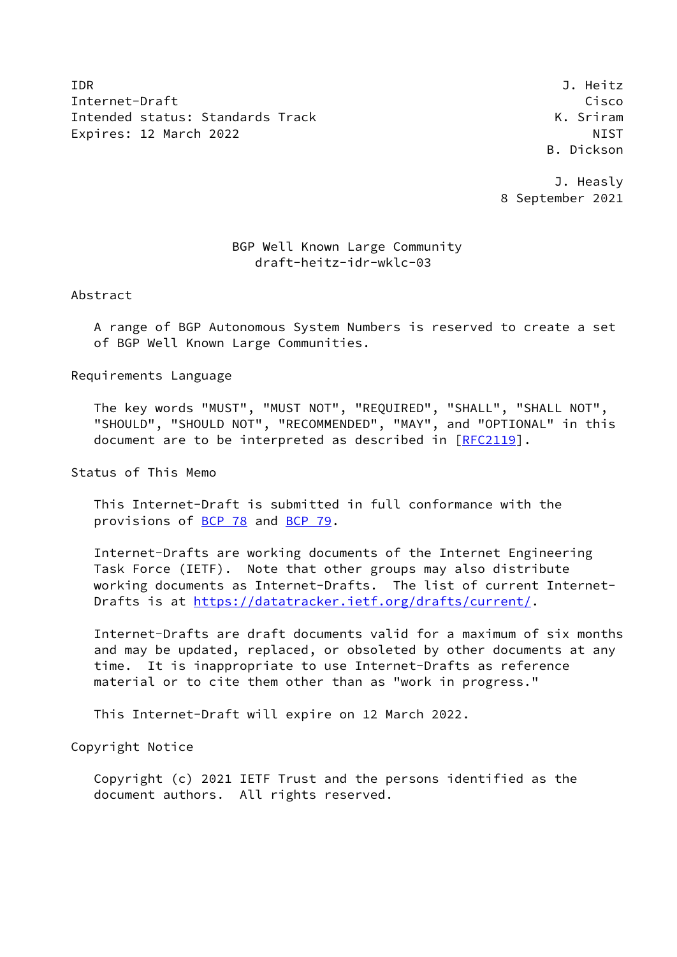IDR J. Heitz Internet-Draft Cisco Intended status: Standards Track K. Sriram Expires: 12 March 2022 NIST

B. Dickson

 J. Heasly 8 September 2021

## BGP Well Known Large Community draft-heitz-idr-wklc-03

Abstract

 A range of BGP Autonomous System Numbers is reserved to create a set of BGP Well Known Large Communities.

Requirements Language

 The key words "MUST", "MUST NOT", "REQUIRED", "SHALL", "SHALL NOT", "SHOULD", "SHOULD NOT", "RECOMMENDED", "MAY", and "OPTIONAL" in this document are to be interpreted as described in [\[RFC2119](https://datatracker.ietf.org/doc/pdf/rfc2119)].

Status of This Memo

 This Internet-Draft is submitted in full conformance with the provisions of [BCP 78](https://datatracker.ietf.org/doc/pdf/bcp78) and [BCP 79](https://datatracker.ietf.org/doc/pdf/bcp79).

 Internet-Drafts are working documents of the Internet Engineering Task Force (IETF). Note that other groups may also distribute working documents as Internet-Drafts. The list of current Internet- Drafts is at<https://datatracker.ietf.org/drafts/current/>.

 Internet-Drafts are draft documents valid for a maximum of six months and may be updated, replaced, or obsoleted by other documents at any time. It is inappropriate to use Internet-Drafts as reference material or to cite them other than as "work in progress."

This Internet-Draft will expire on 12 March 2022.

Copyright Notice

 Copyright (c) 2021 IETF Trust and the persons identified as the document authors. All rights reserved.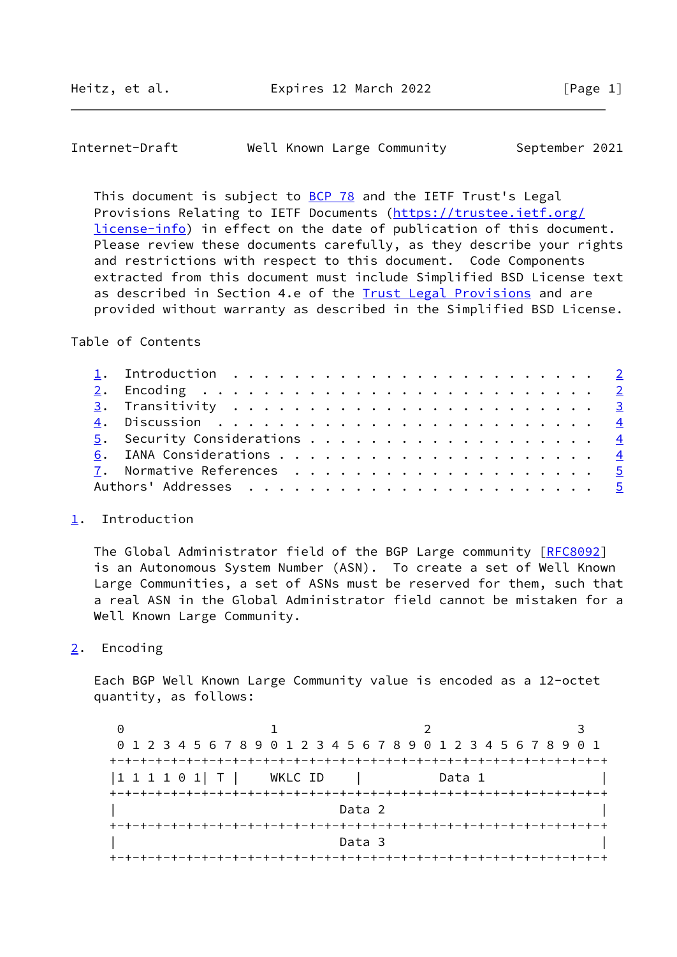<span id="page-1-1"></span>Internet-Draft Well Known Large Community September 2021

This document is subject to [BCP 78](https://datatracker.ietf.org/doc/pdf/bcp78) and the IETF Trust's Legal Provisions Relating to IETF Documents ([https://trustee.ietf.org/](https://trustee.ietf.org/license-info) [license-info](https://trustee.ietf.org/license-info)) in effect on the date of publication of this document. Please review these documents carefully, as they describe your rights and restrictions with respect to this document. Code Components extracted from this document must include Simplified BSD License text as described in Section 4.e of the **[Trust Legal Provisions](https://trustee.ietf.org/license-info)** and are provided without warranty as described in the Simplified BSD License.

Table of Contents

|  | 1. Introduction $\ldots \ldots \ldots \ldots \ldots \ldots \ldots \ldots \ldots$ |  |  |  |  |  |  |  |  |  |  |  |  |
|--|----------------------------------------------------------------------------------|--|--|--|--|--|--|--|--|--|--|--|--|
|  |                                                                                  |  |  |  |  |  |  |  |  |  |  |  |  |
|  |                                                                                  |  |  |  |  |  |  |  |  |  |  |  |  |
|  |                                                                                  |  |  |  |  |  |  |  |  |  |  |  |  |
|  |                                                                                  |  |  |  |  |  |  |  |  |  |  |  |  |
|  |                                                                                  |  |  |  |  |  |  |  |  |  |  |  |  |
|  |                                                                                  |  |  |  |  |  |  |  |  |  |  |  |  |
|  |                                                                                  |  |  |  |  |  |  |  |  |  |  |  |  |
|  |                                                                                  |  |  |  |  |  |  |  |  |  |  |  |  |

## <span id="page-1-0"></span>[1](#page-1-0). Introduction

The Global Administrator field of the BGP Large community [[RFC8092](https://datatracker.ietf.org/doc/pdf/rfc8092)] is an Autonomous System Number (ASN). To create a set of Well Known Large Communities, a set of ASNs must be reserved for them, such that a real ASN in the Global Administrator field cannot be mistaken for a Well Known Large Community.

<span id="page-1-2"></span>[2](#page-1-2). Encoding

 Each BGP Well Known Large Community value is encoded as a 12-octet quantity, as follows:

0 1 2 3 0 1 2 3 4 5 6 7 8 9 0 1 2 3 4 5 6 7 8 9 0 1 2 3 4 5 6 7 8 9 0 1 +-+-+-+-+-+-+-+-+-+-+-+-+-+-+-+-+-+-+-+-+-+-+-+-+-+-+-+-+-+-+-+-+ |1 1 1 1 0 1| T | WKLC ID | Data 1 | +-+-+-+-+-+-+-+-+-+-+-+-+-+-+-+-+-+-+-+-+-+-+-+-+-+-+-+-+-+-+-+-+ | **Data 2** | **Data 2** | **Data 2** | **Data 2** | *Data 2* **| <b>***Parameters* **1** | **Parameters 1** | **Parameters 1** | **Parameters 1** | **Parameters 1** | **Parameters 1** | **Parameters 1** | **Parameters 1** | **Parameter**  +-+-+-+-+-+-+-+-+-+-+-+-+-+-+-+-+-+-+-+-+-+-+-+-+-+-+-+-+-+-+-+-+ | Data 3 | +-+-+-+-+-+-+-+-+-+-+-+-+-+-+-+-+-+-+-+-+-+-+-+-+-+-+-+-+-+-+-+-+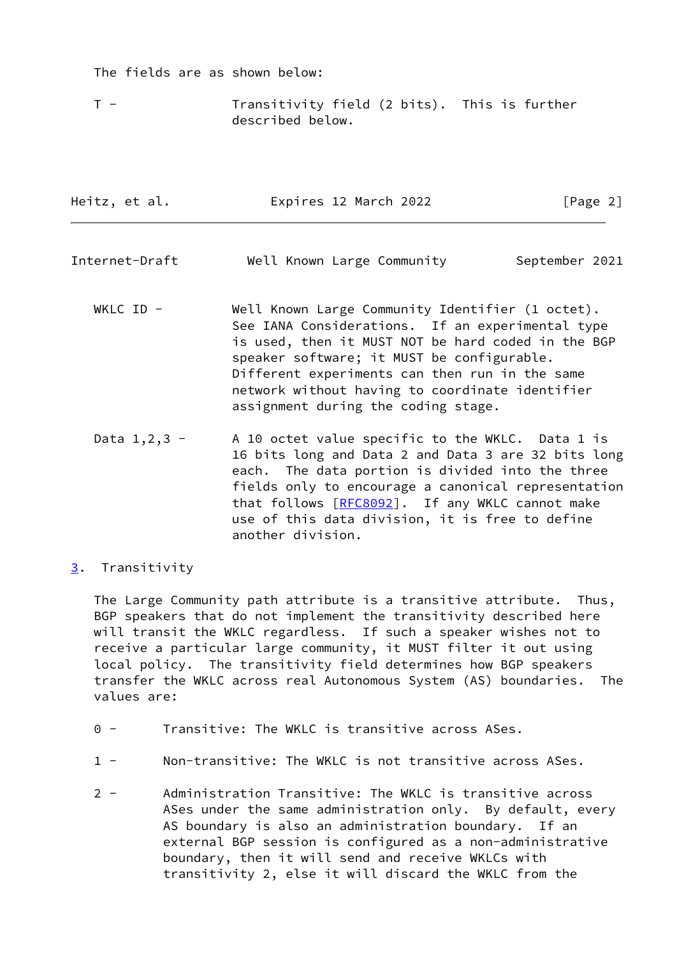The fields are as shown below:

 T - Transitivity field (2 bits). This is further described below.

<span id="page-2-1"></span>

| Heitz, et al.    | Expires 12 March 2022                                                                                                                                                                                                                                                                                                                                | [Page 2]       |
|------------------|------------------------------------------------------------------------------------------------------------------------------------------------------------------------------------------------------------------------------------------------------------------------------------------------------------------------------------------------------|----------------|
| Internet-Draft   | Well Known Large Community                                                                                                                                                                                                                                                                                                                           | September 2021 |
| WKLC ID -        | Well Known Large Community Identifier (1 octet).<br>See IANA Considerations. If an experimental type<br>is used, then it MUST NOT be hard coded in the BGP<br>speaker software; it MUST be configurable.<br>Different experiments can then run in the same<br>network without having to coordinate identifier<br>assignment during the coding stage. |                |
| Data $1, 2, 3 -$ | A 10 octet value specific to the WKLC. Data 1 is                                                                                                                                                                                                                                                                                                     |                |

- 16 bits long and Data 2 and Data 3 are 32 bits long each. The data portion is divided into the three fields only to encourage a canonical representation that follows [\[RFC8092](https://datatracker.ietf.org/doc/pdf/rfc8092)]. If any WKLC cannot make use of this data division, it is free to define another division.
- <span id="page-2-0"></span>[3](#page-2-0). Transitivity

 The Large Community path attribute is a transitive attribute. Thus, BGP speakers that do not implement the transitivity described here will transit the WKLC regardless. If such a speaker wishes not to receive a particular large community, it MUST filter it out using local policy. The transitivity field determines how BGP speakers transfer the WKLC across real Autonomous System (AS) boundaries. The values are:

- 0 Transitive: The WKLC is transitive across ASes.
- 1 Non-transitive: The WKLC is not transitive across ASes.
- 2 Administration Transitive: The WKLC is transitive across ASes under the same administration only. By default, every AS boundary is also an administration boundary. If an external BGP session is configured as a non-administrative boundary, then it will send and receive WKLCs with transitivity 2, else it will discard the WKLC from the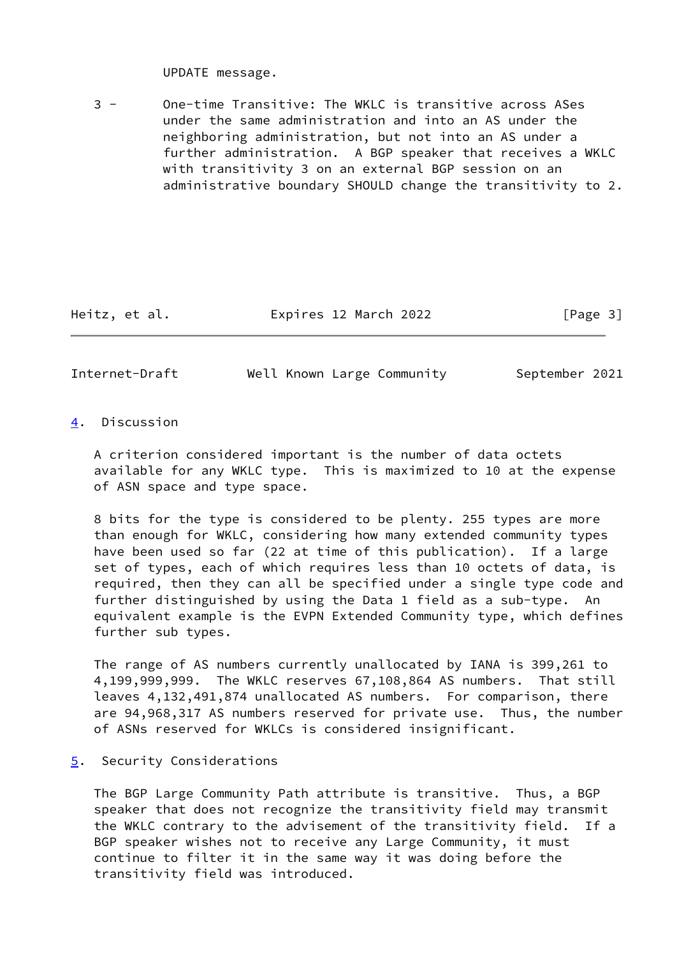UPDATE message.

 3 - One-time Transitive: The WKLC is transitive across ASes under the same administration and into an AS under the neighboring administration, but not into an AS under a further administration. A BGP speaker that receives a WKLC with transitivity 3 on an external BGP session on an administrative boundary SHOULD change the transitivity to 2.

Heitz, et al. **Expires 12 March 2022** [Page 3]

<span id="page-3-1"></span>Internet-Draft Well Known Large Community September 2021

## <span id="page-3-0"></span>[4](#page-3-0). Discussion

 A criterion considered important is the number of data octets available for any WKLC type. This is maximized to 10 at the expense of ASN space and type space.

 8 bits for the type is considered to be plenty. 255 types are more than enough for WKLC, considering how many extended community types have been used so far (22 at time of this publication). If a large set of types, each of which requires less than 10 octets of data, is required, then they can all be specified under a single type code and further distinguished by using the Data 1 field as a sub-type. An equivalent example is the EVPN Extended Community type, which defines further sub types.

 The range of AS numbers currently unallocated by IANA is 399,261 to 4,199,999,999. The WKLC reserves 67,108,864 AS numbers. That still leaves 4,132,491,874 unallocated AS numbers. For comparison, there are 94,968,317 AS numbers reserved for private use. Thus, the number of ASNs reserved for WKLCs is considered insignificant.

## <span id="page-3-2"></span>[5](#page-3-2). Security Considerations

 The BGP Large Community Path attribute is transitive. Thus, a BGP speaker that does not recognize the transitivity field may transmit the WKLC contrary to the advisement of the transitivity field. If a BGP speaker wishes not to receive any Large Community, it must continue to filter it in the same way it was doing before the transitivity field was introduced.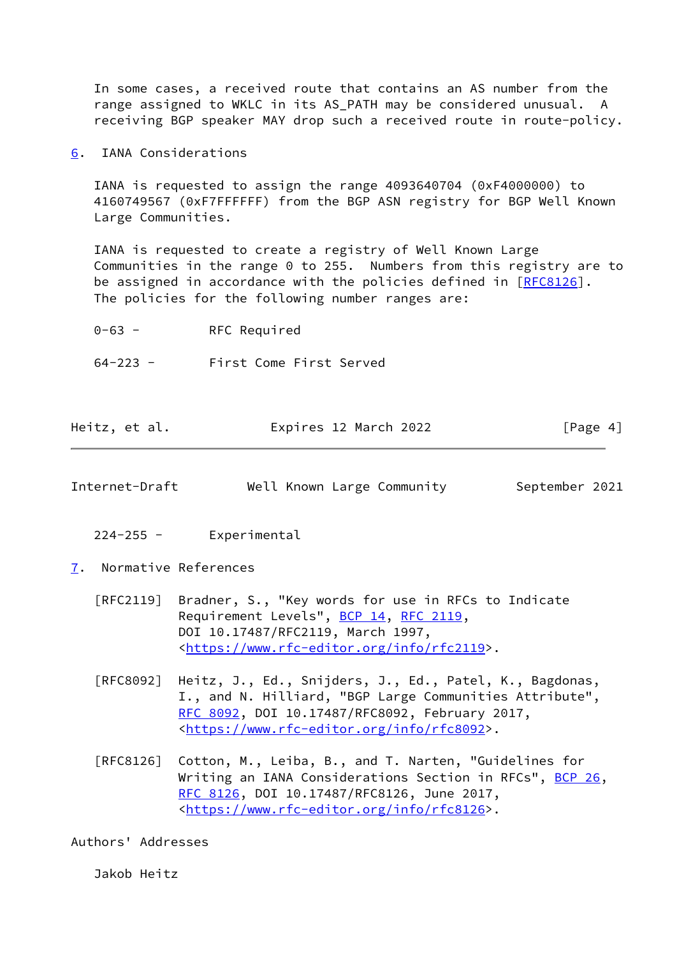In some cases, a received route that contains an AS number from the range assigned to WKLC in its AS PATH may be considered unusual. A receiving BGP speaker MAY drop such a received route in route-policy.

<span id="page-4-0"></span>[6](#page-4-0). IANA Considerations

 IANA is requested to assign the range 4093640704 (0xF4000000) to 4160749567 (0xF7FFFFFF) from the BGP ASN registry for BGP Well Known Large Communities.

 IANA is requested to create a registry of Well Known Large Communities in the range 0 to 255. Numbers from this registry are to be assigned in accordance with the policies defined in [\[RFC8126](https://datatracker.ietf.org/doc/pdf/rfc8126)]. The policies for the following number ranges are:

 0-63 - RFC Required 64-223 - First Come First Served

| Expires 12 March 2022<br>Heitz, et al. | [Page 4] |  |
|----------------------------------------|----------|--|
|----------------------------------------|----------|--|

<span id="page-4-2"></span>Internet-Draft Well Known Large Community September 2021

- 224-255 Experimental
- <span id="page-4-1"></span>[7](#page-4-1). Normative References
	- [RFC2119] Bradner, S., "Key words for use in RFCs to Indicate Requirement Levels", [BCP 14](https://datatracker.ietf.org/doc/pdf/bcp14), [RFC 2119](https://datatracker.ietf.org/doc/pdf/rfc2119), DOI 10.17487/RFC2119, March 1997, <[https://www.rfc-editor.org/info/rfc2119>](https://www.rfc-editor.org/info/rfc2119).
	- [RFC8092] Heitz, J., Ed., Snijders, J., Ed., Patel, K., Bagdonas, I., and N. Hilliard, "BGP Large Communities Attribute", [RFC 8092,](https://datatracker.ietf.org/doc/pdf/rfc8092) DOI 10.17487/RFC8092, February 2017, <[https://www.rfc-editor.org/info/rfc8092>](https://www.rfc-editor.org/info/rfc8092).
	- [RFC8126] Cotton, M., Leiba, B., and T. Narten, "Guidelines for Writing an IANA Considerations Section in RFCs", [BCP 26](https://datatracker.ietf.org/doc/pdf/bcp26), [RFC 8126,](https://datatracker.ietf.org/doc/pdf/rfc8126) DOI 10.17487/RFC8126, June 2017, <[https://www.rfc-editor.org/info/rfc8126>](https://www.rfc-editor.org/info/rfc8126).

Authors' Addresses

Jakob Heitz